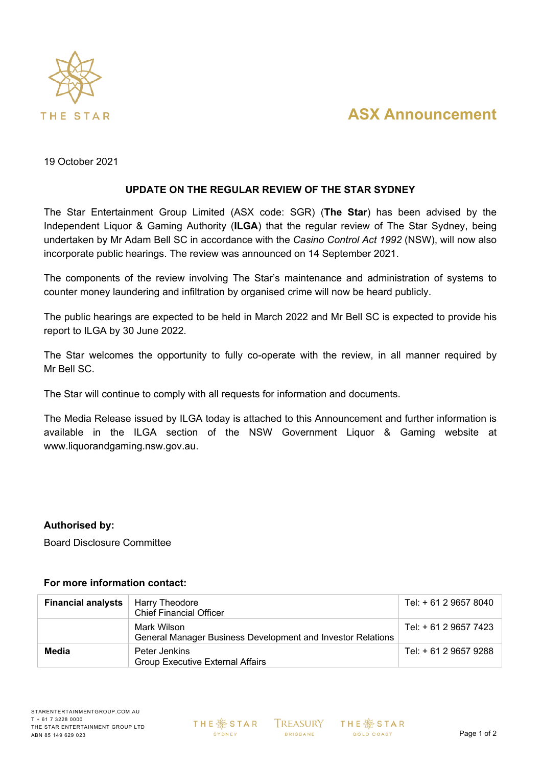

# **ASX Announcement**

19 October 2021

#### **UPDATE ON THE REGULAR REVIEW OF THE STAR SYDNEY**

The Star Entertainment Group Limited (ASX code: SGR) (**The Star**) has been advised by the Independent Liquor & Gaming Authority (**ILGA**) that the regular review of The Star Sydney, being undertaken by Mr Adam Bell SC in accordance with the *Casino Control Act 1992* (NSW), will now also incorporate public hearings. The review was announced on 14 September 2021.

The components of the review involving The Star's maintenance and administration of systems to counter money laundering and infiltration by organised crime will now be heard publicly.

The public hearings are expected to be held in March 2022 and Mr Bell SC is expected to provide his report to ILGA by 30 June 2022.

The Star welcomes the opportunity to fully co-operate with the review, in all manner required by Mr Bell SC.

The Star will continue to comply with all requests for information and documents.

The Media Release issued by ILGA today is attached to this Announcement and further information is available in the ILGA section of the NSW Government Liquor & Gaming website at [www.liquorandgaming.nsw.gov.au.](http://www.liquorandgaming.nsw.gov.au/)

#### **Authorised by:**

Board Disclosure Committee

#### **For more information contact:**

| <b>Financial analysts</b> | Harry Theodore<br><b>Chief Financial Officer</b>                           | Tel: + 61 2 9657 8040 |
|---------------------------|----------------------------------------------------------------------------|-----------------------|
|                           | Mark Wilson<br>General Manager Business Development and Investor Relations | Tel: + 61 2 9657 7423 |
| Media                     | Peter Jenkins<br><b>Group Executive External Affairs</b>                   | Tel: + 61 2 9657 9288 |

**THE ※ STAR** SYDNEY

**TREASURY BRISBANE**